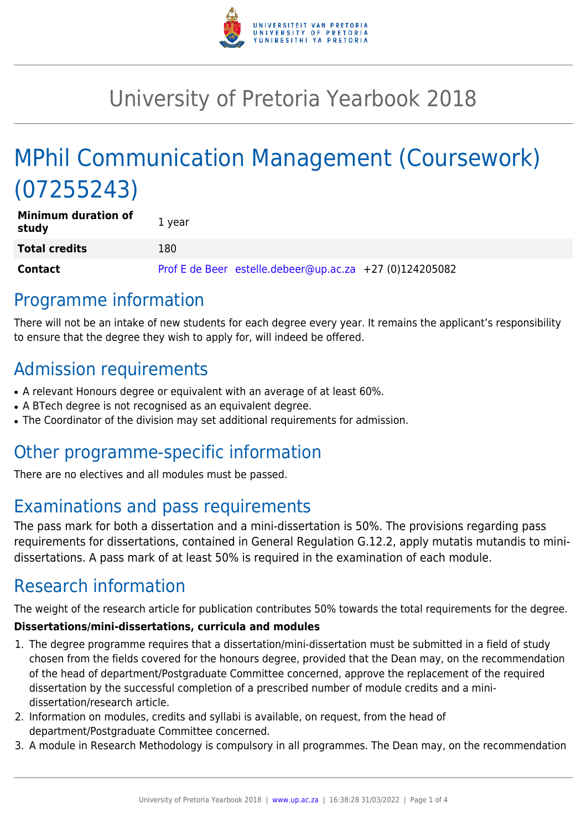

# University of Pretoria Yearbook 2018

# MPhil Communication Management (Coursework) (07255243)

| <b>Minimum duration of</b><br>study | 1 year                                                  |
|-------------------------------------|---------------------------------------------------------|
| <b>Total credits</b>                | 180                                                     |
| <b>Contact</b>                      | Prof E de Beer estelle.debeer@up.ac.za +27 (0)124205082 |

# Programme information

There will not be an intake of new students for each degree every year. It remains the applicant's responsibility to ensure that the degree they wish to apply for, will indeed be offered.

# Admission requirements

- A relevant Honours degree or equivalent with an average of at least 60%.
- A BTech degree is not recognised as an equivalent degree.
- The Coordinator of the division may set additional requirements for admission.

# Other programme-specific information

There are no electives and all modules must be passed.

# Examinations and pass requirements

The pass mark for both a dissertation and a mini-dissertation is 50%. The provisions regarding pass requirements for dissertations, contained in General Regulation G.12.2, apply mutatis mutandis to minidissertations. A pass mark of at least 50% is required in the examination of each module.

# Research information

The weight of the research article for publication contributes 50% towards the total requirements for the degree.

#### **Dissertations/mini-dissertations, curricula and modules**

- 1. The degree programme requires that a dissertation/mini-dissertation must be submitted in a field of study chosen from the fields covered for the honours degree, provided that the Dean may, on the recommendation of the head of department/Postgraduate Committee concerned, approve the replacement of the required dissertation by the successful completion of a prescribed number of module credits and a minidissertation/research article.
- 2. Information on modules, credits and syllabi is available, on request, from the head of department/Postgraduate Committee concerned.
- 3. A module in Research Methodology is compulsory in all programmes. The Dean may, on the recommendation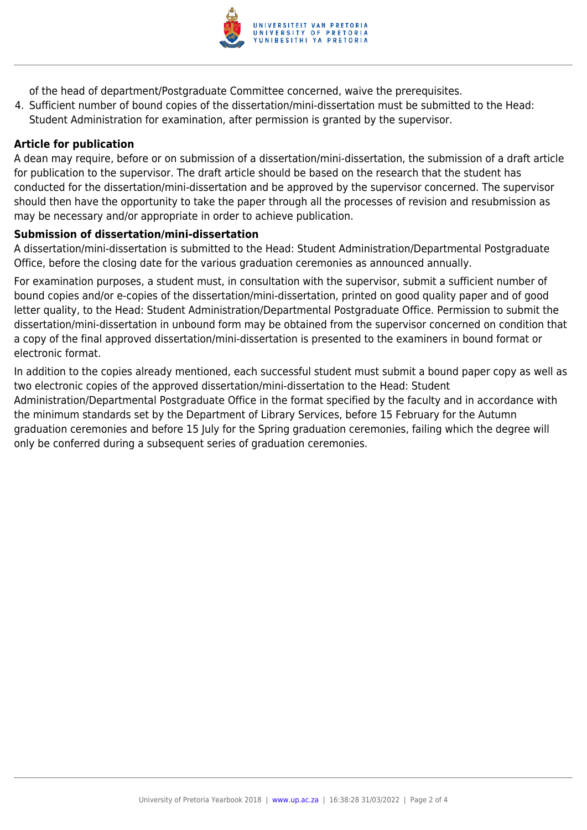

of the head of department/Postgraduate Committee concerned, waive the prerequisites.

4. Sufficient number of bound copies of the dissertation/mini-dissertation must be submitted to the Head: Student Administration for examination, after permission is granted by the supervisor.

#### **Article for publication**

A dean may require, before or on submission of a dissertation/mini-dissertation, the submission of a draft article for publication to the supervisor. The draft article should be based on the research that the student has conducted for the dissertation/mini-dissertation and be approved by the supervisor concerned. The supervisor should then have the opportunity to take the paper through all the processes of revision and resubmission as may be necessary and/or appropriate in order to achieve publication.

#### **Submission of dissertation/mini-dissertation**

A dissertation/mini-dissertation is submitted to the Head: Student Administration/Departmental Postgraduate Office, before the closing date for the various graduation ceremonies as announced annually.

For examination purposes, a student must, in consultation with the supervisor, submit a sufficient number of bound copies and/or e-copies of the dissertation/mini-dissertation, printed on good quality paper and of good letter quality, to the Head: Student Administration/Departmental Postgraduate Office. Permission to submit the dissertation/mini-dissertation in unbound form may be obtained from the supervisor concerned on condition that a copy of the final approved dissertation/mini-dissertation is presented to the examiners in bound format or electronic format.

In addition to the copies already mentioned, each successful student must submit a bound paper copy as well as two electronic copies of the approved dissertation/mini-dissertation to the Head: Student Administration/Departmental Postgraduate Office in the format specified by the faculty and in accordance with the minimum standards set by the Department of Library Services, before 15 February for the Autumn graduation ceremonies and before 15 July for the Spring graduation ceremonies, failing which the degree will only be conferred during a subsequent series of graduation ceremonies.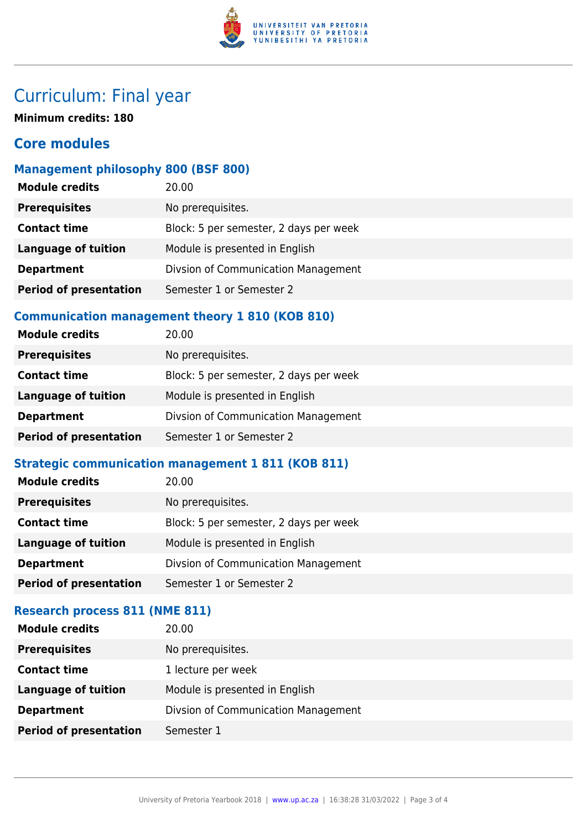

# Curriculum: Final year

**Minimum credits: 180**

### **Core modules**

#### **Management philosophy 800 (BSF 800)**

| <b>Module credits</b>         | 20.00                                  |
|-------------------------------|----------------------------------------|
| <b>Prerequisites</b>          | No prerequisites.                      |
| <b>Contact time</b>           | Block: 5 per semester, 2 days per week |
| <b>Language of tuition</b>    | Module is presented in English         |
| <b>Department</b>             | Divsion of Communication Management    |
| <b>Period of presentation</b> | Semester 1 or Semester 2               |

### **Communication management theory 1 810 (KOB 810)**

| <b>Module credits</b>         | 20.00                                  |
|-------------------------------|----------------------------------------|
| <b>Prerequisites</b>          | No prerequisites.                      |
| <b>Contact time</b>           | Block: 5 per semester, 2 days per week |
| <b>Language of tuition</b>    | Module is presented in English         |
| <b>Department</b>             | Divsion of Communication Management    |
| <b>Period of presentation</b> | Semester 1 or Semester 2               |

### **Strategic communication management 1 811 (KOB 811)**

| <b>Prerequisites</b><br>No prerequisites.<br><b>Contact time</b><br>Block: 5 per semester, 2 days per week |
|------------------------------------------------------------------------------------------------------------|
|                                                                                                            |
|                                                                                                            |
| Module is presented in English<br>Language of tuition                                                      |
| Divsion of Communication Management<br><b>Department</b>                                                   |
| <b>Period of presentation</b><br>Semester 1 or Semester 2                                                  |

### **Research process 811 (NME 811)**

| <b>Module credits</b>         | 20.00                               |
|-------------------------------|-------------------------------------|
| <b>Prerequisites</b>          | No prerequisites.                   |
| <b>Contact time</b>           | 1 lecture per week                  |
| <b>Language of tuition</b>    | Module is presented in English      |
| <b>Department</b>             | Divsion of Communication Management |
| <b>Period of presentation</b> | Semester 1                          |